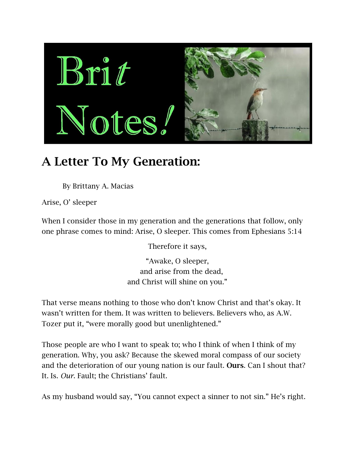

## **A Letter To My Generation:**

By Brittany A. Macias

Arise, O' sleeper

When I consider those in my generation and the generations that follow, only one phrase comes to mind: Arise, O sleeper. This comes from Ephesians 5:14

Therefore it says,

"Awake, O sleeper, and arise from the dead, and Christ will shine on you."

That verse means nothing to those who don't know Christ and that's okay. It wasn't written for them. It was written to believers. Believers who, as A.W. Tozer put it, "were morally good but unenlightened."

Those people are who I want to speak to; who I think of when I think of my generation. Why, you ask? Because the skewed moral compass of our society and the deterioration of our young nation is our fault. **Ours**. Can I shout that? It. Is. *Our*. Fault; the Christians' fault.

As my husband would say, "You cannot expect a sinner to not sin." He's right.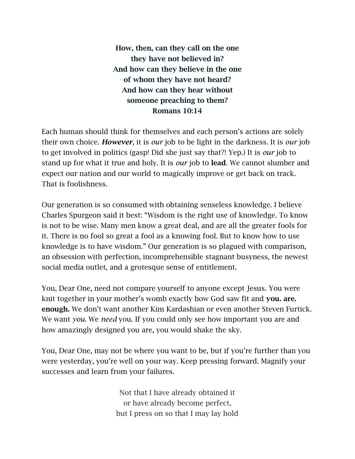**How, then, can they call on the one they have not believed in? And how can they believe in the one of whom they have not heard? And how can they hear without someone preaching to them? Romans 10:14**

Each human should think for themselves and each person's actions are solely their own choice. *However*, it is *our* job to be light in the darkness. It is *our* job to get involved in politics (gasp! Did she just say that?! Yep.) It is *our* job to stand up for what it true and holy. It is *our* job to **lead**. We cannot slumber and expect our nation and our world to magically improve or get back on track. That is foolishness.

Our generation is so consumed with obtaining senseless knowledge. I believe Charles Spurgeon said it best: "Wisdom is the right use of knowledge. To know is not to be wise. Many men know a great deal, and are all the greater fools for it. There is no fool so great a fool as a knowing fool. But to know how to use knowledge is to have wisdom." Our generation is so plagued with comparison, an obsession with perfection, incomprehensible stagnant busyness, the newest social media outlet, and a grotesque sense of entitlement.

You, Dear One, need not compare yourself to anyone except Jesus. You were knit together in your mother's womb exactly how God saw fit and **you. are. enough.** We don't want another Kim Kardashian or even another Steven Furtick. We want *you*. We *need* you. If you could only see how important you are and how amazingly designed you are, you would shake the sky.

You, Dear One, may not be where you want to be, but if you're further than you were yesterday, you're well on your way. Keep pressing forward. Magnify your successes and learn from your failures.

> Not that I have already obtained it or have already become perfect, but I press on so that I may lay hold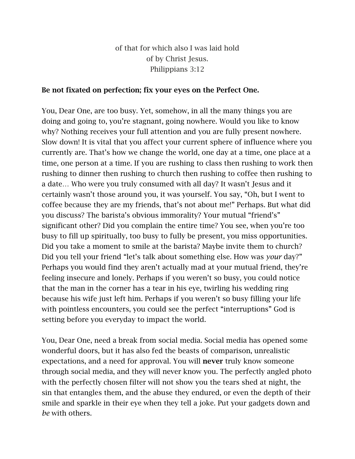of that for which also I was laid hold of by Christ Jesus. Philippians 3:12

## **Be not fixated on perfection; fix your eyes on the Perfect One.**

You, Dear One, are too busy. Yet, somehow, in all the many things you are doing and going to, you're stagnant, going nowhere. Would you like to know why? Nothing receives your full attention and you are fully present nowhere. Slow down! It is vital that you affect your current sphere of influence where you currently are. That's how we change the world, one day at a time, one place at a time, one person at a time. If you are rushing to class then rushing to work then rushing to dinner then rushing to church then rushing to coffee then rushing to a date… Who were you truly consumed with all day? It wasn't Jesus and it certainly wasn't those around you, it was yourself. You say, "Oh, but I went to coffee because they are my friends, that's not about me!" Perhaps. But what did you discuss? The barista's obvious immorality? Your mutual "friend's" significant other? Did you complain the entire time? You see, when you're too busy to fill up spiritually, too busy to fully be present, you miss opportunities. Did you take a moment to smile at the barista? Maybe invite them to church? Did you tell your friend "let's talk about something else. How was *your* day?" Perhaps you would find they aren't actually mad at your mutual friend, they're feeling insecure and lonely. Perhaps if you weren't so busy, you could notice that the man in the corner has a tear in his eye, twirling his wedding ring because his wife just left him. Perhaps if you weren't so busy filling your life with pointless encounters, you could see the perfect "interruptions" God is setting before you everyday to impact the world.

You, Dear One, need a break from social media. Social media has opened some wonderful doors, but it has also fed the beasts of comparison, unrealistic expectations, and a need for approval. You will **never** truly know someone through social media, and they will never know you. The perfectly angled photo with the perfectly chosen filter will not show you the tears shed at night, the sin that entangles them, and the abuse they endured, or even the depth of their smile and sparkle in their eye when they tell a joke. Put your gadgets down and *be* with others.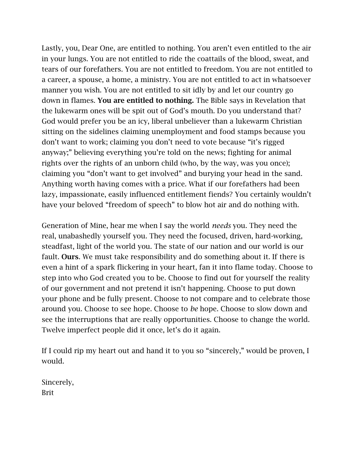Lastly, you, Dear One, are entitled to nothing. You aren't even entitled to the air in your lungs. You are not entitled to ride the coattails of the blood, sweat, and tears of our forefathers. You are not entitled to freedom. You are not entitled to a career, a spouse, a home, a ministry. You are not entitled to act in whatsoever manner you wish. You are not entitled to sit idly by and let our country go down in flames. **You are entitled to nothing.** The Bible says in Revelation that the lukewarm ones will be spit out of God's mouth. Do you understand that? God would prefer you be an icy, liberal unbeliever than a lukewarm Christian sitting on the sidelines claiming unemployment and food stamps because you don't want to work; claiming you don't need to vote because "it's rigged anyway;" believing everything you're told on the news; fighting for animal rights over the rights of an unborn child (who, by the way, was you once); claiming you "don't want to get involved" and burying your head in the sand. Anything worth having comes with a price. What if our forefathers had been lazy, impassionate, easily influenced entitlement fiends? You certainly wouldn't have your beloved "freedom of speech" to blow hot air and do nothing with.

Generation of Mine, hear me when I say the world *needs* you. They need the real, unabashedly yourself you. They need the focused, driven, hard-working, steadfast, light of the world you. The state of our nation and our world is our fault. **Ours**. We must take responsibility and do something about it. If there is even a hint of a spark flickering in your heart, fan it into flame today. Choose to step into who God created you to be. Choose to find out for yourself the reality of our government and not pretend it isn't happening. Choose to put down your phone and be fully present. Choose to not compare and to celebrate those around you. Choose to see hope. Choose to *be* hope. Choose to slow down and see the interruptions that are really opportunities. Choose to change the world. Twelve imperfect people did it once, let's do it again.

If I could rip my heart out and hand it to you so "sincerely," would be proven, I would.

Sincerely, Brit